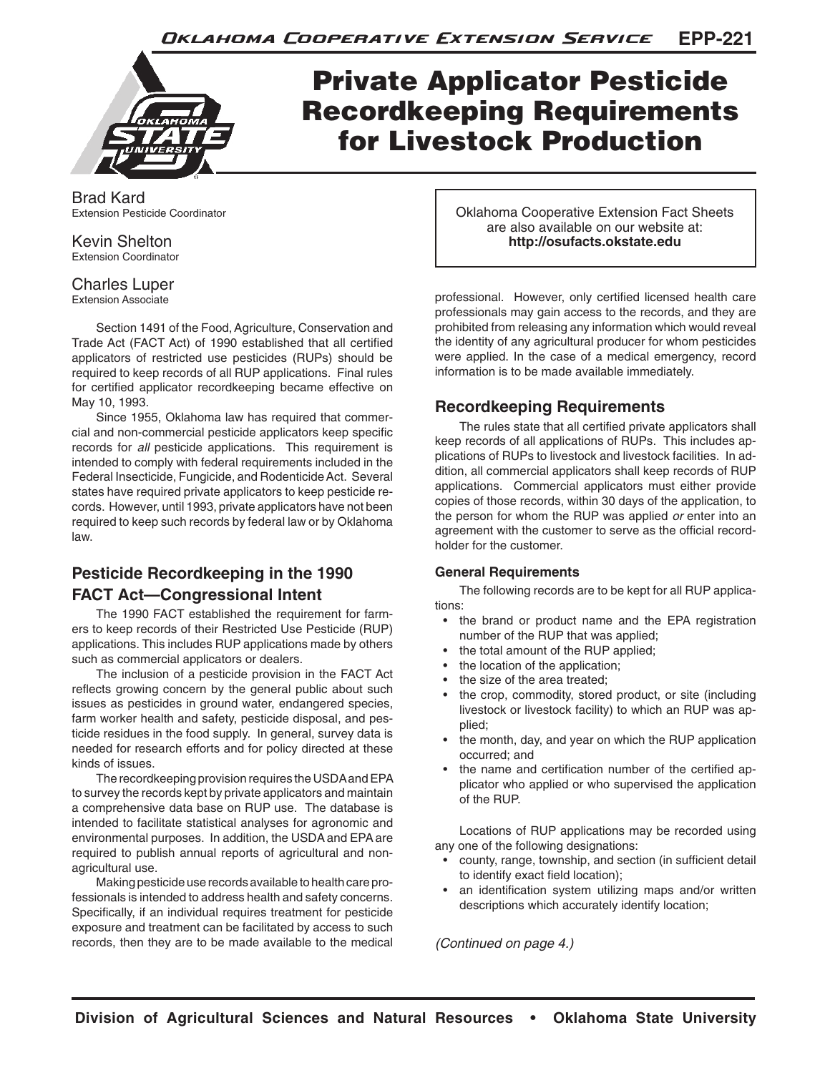

## Private Applicator Pesticide Recordkeeping Requirements for Livestock Production

Brad Kard Extension Pesticide Coordinator

Kevin Shelton Extension Coordinator

## Charles Luper

Extension Associate

Section 1491 of the Food, Agriculture, Conservation and Trade Act (FACT Act) of 1990 established that all certified applicators of restricted use pesticides (RUPs) should be required to keep records of all RUP applications. Final rules for certified applicator recordkeeping became effective on May 10, 1993.

Since 1955, Oklahoma law has required that commercial and non-commercial pesticide applicators keep specific records for *all* pesticide applications. This requirement is intended to comply with federal requirements included in the Federal Insecticide, Fungicide, and Rodenticide Act. Several states have required private applicators to keep pesticide records. However, until 1993, private applicators have not been required to keep such records by federal law or by Oklahoma law.

## **Pesticide Recordkeeping in the 1990 FACT Act—Congressional Intent**

The 1990 FACT established the requirement for farmers to keep records of their Restricted Use Pesticide (RUP) applications. This includes RUP applications made by others such as commercial applicators or dealers.

The inclusion of a pesticide provision in the FACT Act reflects growing concern by the general public about such issues as pesticides in ground water, endangered species, farm worker health and safety, pesticide disposal, and pesticide residues in the food supply. In general, survey data is needed for research efforts and for policy directed at these kinds of issues.

The recordkeeping provision requires the USDA and EPA to survey the records kept by private applicators and maintain a comprehensive data base on RUP use. The database is intended to facilitate statistical analyses for agronomic and environmental purposes. In addition, the USDA and EPA are required to publish annual reports of agricultural and nonagricultural use.

Making pesticide use records available to health care professionals is intended to address health and safety concerns. Specifically, if an individual requires treatment for pesticide exposure and treatment can be facilitated by access to such records, then they are to be made available to the medical Oklahoma Cooperative Extension Fact Sheets are also available on our website at: **http://osufacts.okstate.edu**

professional. However, only certified licensed health care professionals may gain access to the records, and they are prohibited from releasing any information which would reveal the identity of any agricultural producer for whom pesticides were applied. In the case of a medical emergency, record information is to be made available immediately.

### **Recordkeeping Requirements**

The rules state that all certified private applicators shall keep records of all applications of RUPs. This includes applications of RUPs to livestock and livestock facilities. In addition, all commercial applicators shall keep records of RUP applications. Commercial applicators must either provide copies of those records, within 30 days of the application, to the person for whom the RUP was applied *or* enter into an agreement with the customer to serve as the official recordholder for the customer.

#### **General Requirements**

The following records are to be kept for all RUP applications:

- the brand or product name and the EPA registration number of the RUP that was applied;
- the total amount of the RUP applied;
- the location of the application;
- the size of the area treated;
- the crop, commodity, stored product, or site (including livestock or livestock facility) to which an RUP was applied;
- the month, day, and year on which the RUP application occurred; and
- the name and certification number of the certified applicator who applied or who supervised the application of the RUP.

Locations of RUP applications may be recorded using any one of the following designations:

- county, range, township, and section (in sufficient detail to identify exact field location);
- an identification system utilizing maps and/or written descriptions which accurately identify location;

*(Continued on page 4.)*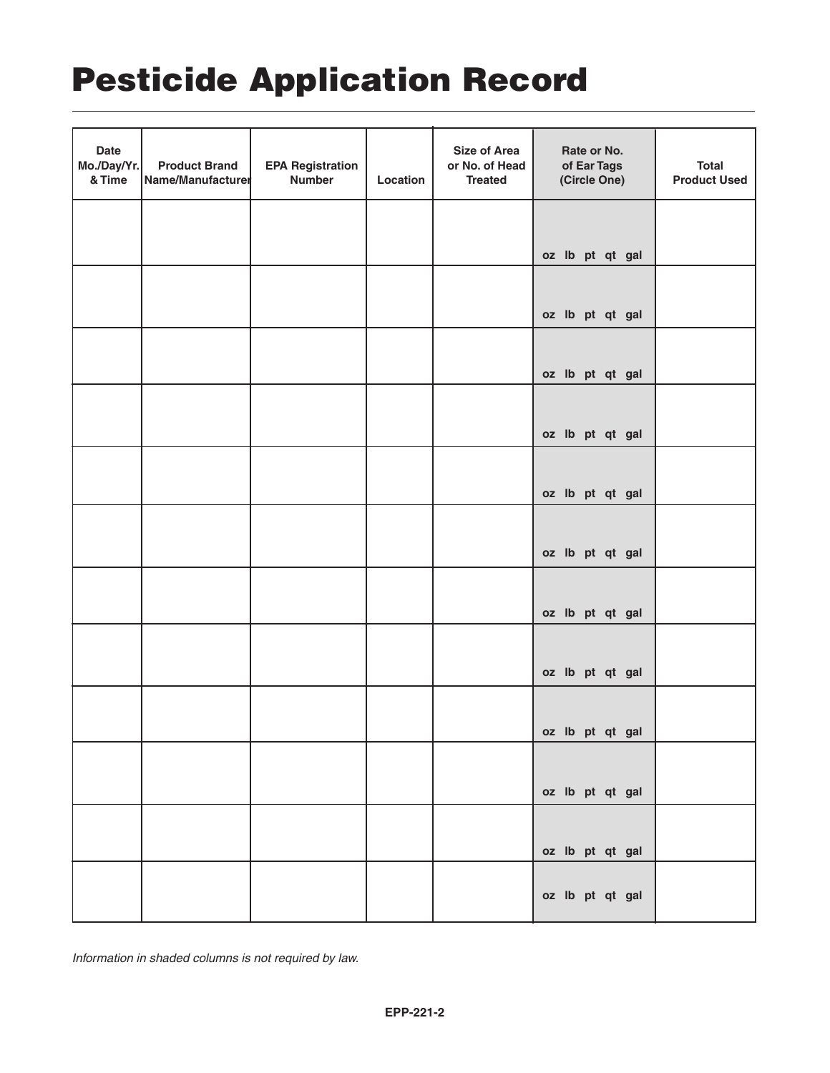# Pesticide Application Record

| <b>Date</b><br>Mo./Day/Yr.<br>& Time | <b>Product Brand</b><br>Name/Manufacturer | <b>EPA Registration</b><br><b>Number</b> | Location | <b>Size of Area</b><br>or No. of Head<br><b>Treated</b> | Rate or No.<br>of Ear Tags<br>(Circle One) | <b>Total</b><br><b>Product Used</b> |
|--------------------------------------|-------------------------------------------|------------------------------------------|----------|---------------------------------------------------------|--------------------------------------------|-------------------------------------|
|                                      |                                           |                                          |          |                                                         | oz lb pt qt gal                            |                                     |
|                                      |                                           |                                          |          |                                                         | oz lb pt qt gal                            |                                     |
|                                      |                                           |                                          |          |                                                         | oz lb pt qt gal                            |                                     |
|                                      |                                           |                                          |          |                                                         | oz lb pt qt gal                            |                                     |
|                                      |                                           |                                          |          |                                                         | oz lb pt qt gal                            |                                     |
|                                      |                                           |                                          |          |                                                         | oz lb pt qt gal                            |                                     |
|                                      |                                           |                                          |          |                                                         | oz lb pt qt gal                            |                                     |
|                                      |                                           |                                          |          |                                                         | oz lb pt qt gal                            |                                     |
|                                      |                                           |                                          |          |                                                         | oz lb pt qt gal                            |                                     |
|                                      |                                           |                                          |          |                                                         | oz lb pt qt gal                            |                                     |
|                                      |                                           |                                          |          |                                                         | oz lb pt qt gal                            |                                     |
|                                      |                                           |                                          |          |                                                         | oz lb pt qt gal                            |                                     |

*Information in shaded columns is not required by law.*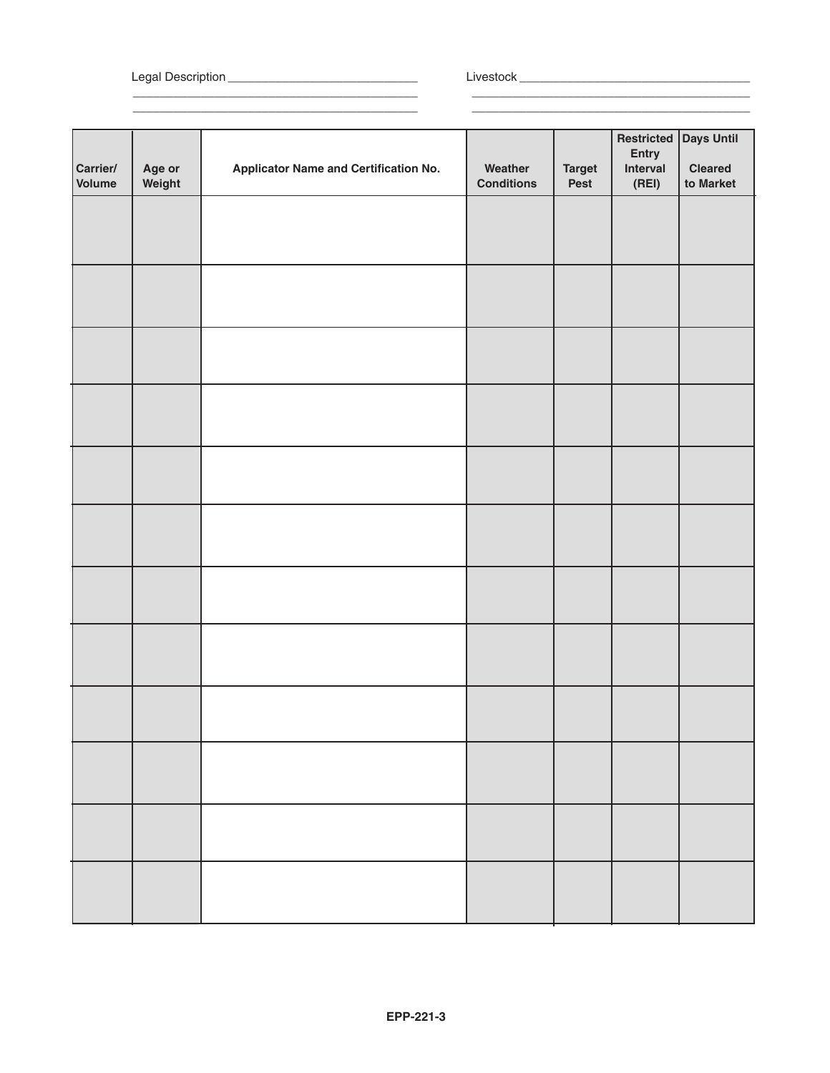Legal Description \_\_\_\_\_\_\_\_\_\_\_\_\_\_\_\_\_\_\_\_\_\_\_\_\_\_\_\_ Livestock \_\_\_\_\_\_\_\_\_\_\_\_\_\_\_\_\_\_\_\_\_\_\_\_\_\_\_\_\_\_\_\_\_\_

\_\_\_\_\_\_\_\_\_\_\_\_\_\_\_\_\_\_\_\_\_\_\_\_\_\_\_\_\_\_\_\_\_\_\_\_\_\_\_\_\_\_ \_\_\_\_\_\_\_\_\_\_\_\_\_\_\_\_\_\_\_\_\_\_\_\_\_\_\_\_\_\_\_\_\_\_\_\_\_\_\_\_\_ \_\_\_\_\_\_\_\_\_\_\_\_\_\_\_\_\_\_\_\_\_\_\_\_\_\_\_\_\_\_\_\_\_\_\_\_\_\_\_\_\_\_ \_\_\_\_\_\_\_\_\_\_\_\_\_\_\_\_\_\_\_\_\_\_\_\_\_\_\_\_\_\_\_\_\_\_\_\_\_\_\_\_\_

| Carrier/<br>Volume | Age or<br>Weight | <b>Applicator Name and Certification No.</b> | Weather<br><b>Conditions</b> | <b>Target</b><br>Pest | Restricted<br>Entry<br>Interval<br>(REI) | Days Until<br><b>Cleared</b><br>to Market |
|--------------------|------------------|----------------------------------------------|------------------------------|-----------------------|------------------------------------------|-------------------------------------------|
|                    |                  |                                              |                              |                       |                                          |                                           |
|                    |                  |                                              |                              |                       |                                          |                                           |
|                    |                  |                                              |                              |                       |                                          |                                           |
|                    |                  |                                              |                              |                       |                                          |                                           |
|                    |                  |                                              |                              |                       |                                          |                                           |
|                    |                  |                                              |                              |                       |                                          |                                           |
|                    |                  |                                              |                              |                       |                                          |                                           |
|                    |                  |                                              |                              |                       |                                          |                                           |
|                    |                  |                                              |                              |                       |                                          |                                           |
|                    |                  |                                              |                              |                       |                                          |                                           |
|                    |                  |                                              |                              |                       |                                          |                                           |
|                    |                  |                                              |                              |                       |                                          |                                           |